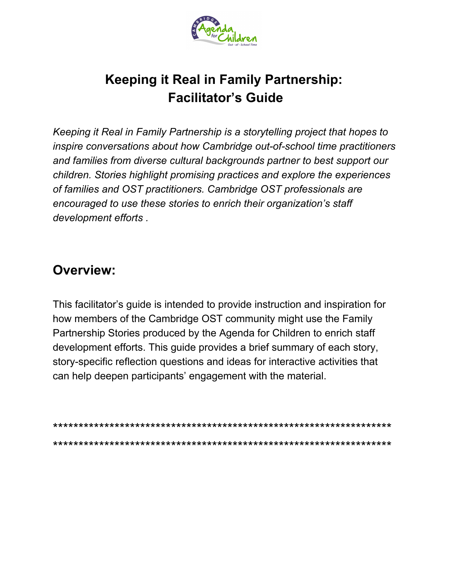

# **Keeping it Real in Family Partnership: Facilitator's Guide**

*Keeping it Real in Family Partnership is a storytelling project that hopes to inspire conversations about how Cambridge out-of-school time practitioners and families from diverse cultural backgrounds partner to best support our children. Stories highlight promising practices and explore the experiences of families and OST practitioners. Cambridge OST professionals are encouraged to use these stories to enrich their organization's staff development efforts .*

# **Overview:**

This facilitator's guide is intended to provide instruction and inspiration for how members of the Cambridge OST community might use the Family Partnership Stories produced by the Agenda for Children to enrich staff development efforts. This guide provides a brief summary of each story, story-specific reflection questions and ideas for interactive activities that can help deepen participants' engagement with the material.

\*\*\*\*\*\*\*\*\*\*\*\*\*\*\*\*\*\*\*\*\*\*\*\*\*\*\*\*\*\*\*\*\*\*\*\*\*\*\*\*\*\*\*\*\*\*\*\*\*\*\*\*\*\*\*\*\*\*\*\*\*\*\*\*\*\* \*\*\*\*\*\*\*\*\*\*\*\*\*\*\*\*\*\*\*\*\*\*\*\*\*\*\*\*\*\*\*\*\*\*\*\*\*\*\*\*\*\*\*\*\*\*\*\*\*\*\*\*\*\*\*\*\*\*\*\*\*\*\*\*\*\*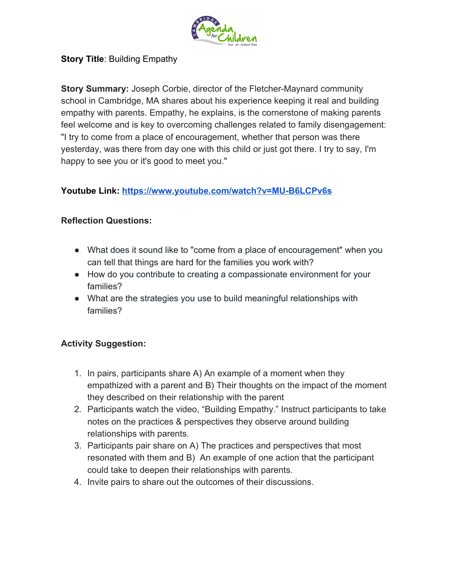

## **Story Title**: Building Empathy

**Story Summary:** Joseph Corbie, director of the Fletcher-Maynard community school in Cambridge, MA shares about his experience keeping it real and building empathy with parents. Empathy, he explains, is the cornerstone of making parents feel welcome and is key to overcoming challenges related to family disengagement: "I try to come from a place of encouragement, whether that person was there yesterday, was there from day one with this child or just got there. I try to say, I'm happy to see you or it's good to meet you."

## **Youtube Link:<https://www.youtube.com/watch?v=MU-B6LCPv6s>**

# **Reflection Questions:**

- What does it sound like to "come from a place of encouragement" when you can tell that things are hard for the families you work with?
- How do you contribute to creating a compassionate environment for your families?
- What are the strategies you use to build meaningful relationships with families?

- 1. In pairs, participants share A) An example of a moment when they empathized with a parent and B) Their thoughts on the impact of the moment they described on their relationship with the parent
- 2. Participants watch the video, "Building Empathy." Instruct participants to take notes on the practices & perspectives they observe around building relationships with parents.
- 3. Participants pair share on A) The practices and perspectives that most resonated with them and B) An example of one action that the participant could take to deepen their relationships with parents.
- 4. Invite pairs to share out the outcomes of their discussions.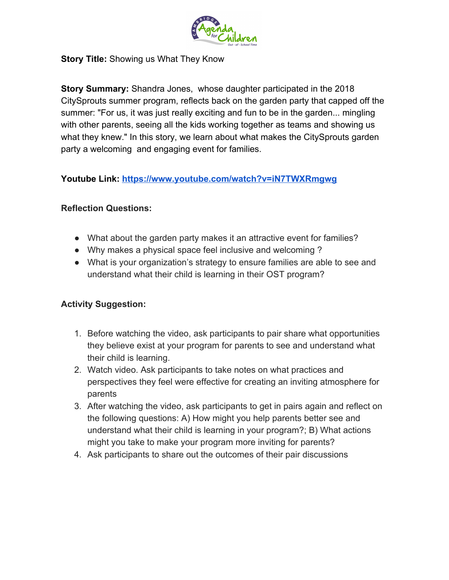

#### **Story Title:** Showing us What They Know

**Story Summary:** Shandra Jones, whose daughter participated in the 2018 CitySprouts summer program, reflects back on the garden party that capped off the summer: "For us, it was just really exciting and fun to be in the garden... mingling with other parents, seeing all the kids working together as teams and showing us what they knew." In this story, we learn about what makes the CitySprouts garden party a welcoming and engaging event for families.

**Youtube Link:<https://www.youtube.com/watch?v=iN7TWXRmgwg>**

#### **Reflection Questions:**

- What about the garden party makes it an attractive event for families?
- Why makes a physical space feel inclusive and welcoming ?
- What is your organization's strategy to ensure families are able to see and understand what their child is learning in their OST program?

- 1. Before watching the video, ask participants to pair share what opportunities they believe exist at your program for parents to see and understand what their child is learning.
- 2. Watch video. Ask participants to take notes on what practices and perspectives they feel were effective for creating an inviting atmosphere for parents
- 3. After watching the video, ask participants to get in pairs again and reflect on the following questions: A) How might you help parents better see and understand what their child is learning in your program?; B) What actions might you take to make your program more inviting for parents?
- 4. Ask participants to share out the outcomes of their pair discussions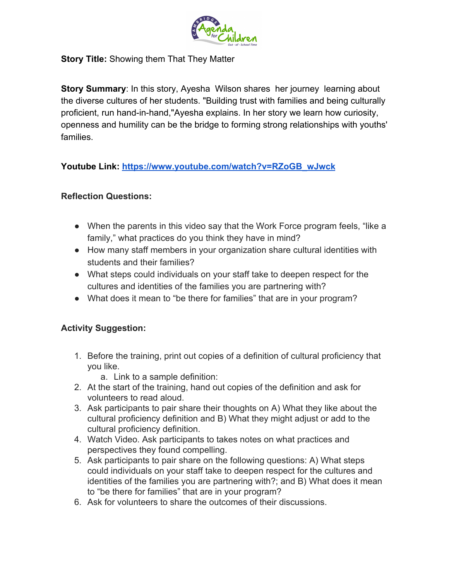

#### **Story Title:** Showing them That They Matter

**Story Summary:** In this story, Ayesha Wilson shares her journey learning about the diverse cultures of her students. "Building trust with families and being culturally proficient, run hand-in-hand,"Ayesha explains. In her story we learn how curiosity, openness and humility can be the bridge to forming strong relationships with youths' families.

**Youtube Link: [https://www.youtube.com/watch?v=RZoGB\\_wJwck](https://www.youtube.com/watch?v=RZoGB_wJwck)**

# **Reflection Questions:**

- When the parents in this video say that the Work Force program feels, "like a family," what practices do you think they have in mind?
- How many staff members in your organization share cultural identities with students and their families?
- What steps could individuals on your staff take to deepen respect for the cultures and identities of the families you are partnering with?
- What does it mean to "be there for families" that are in your program?

- 1. Before the training, print out copies of a definition of cultural proficiency that you like.
	- a. Link to a sample definition:
- 2. At the start of the training, hand out copies of the definition and ask for volunteers to read aloud.
- 3. Ask participants to pair share their thoughts on A) What they like about the cultural proficiency definition and B) What they might adjust or add to the cultural proficiency definition.
- 4. Watch Video. Ask participants to takes notes on what practices and perspectives they found compelling.
- 5. Ask participants to pair share on the following questions: A) What steps could individuals on your staff take to deepen respect for the cultures and identities of the families you are partnering with?; and B) What does it mean to "be there for families" that are in your program?
- 6. Ask for volunteers to share the outcomes of their discussions.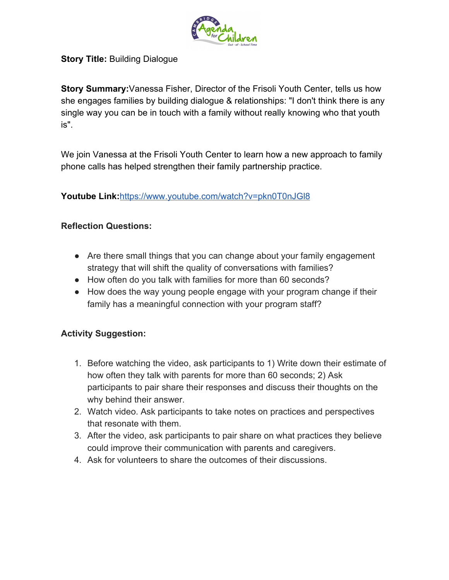

# **Story Title:** Building Dialogue

**Story Summary:**Vanessa Fisher, Director of the Frisoli Youth Center, tells us how she engages families by building dialogue & relationships: "I don't think there is any single way you can be in touch with a family without really knowing who that youth is".

We join Vanessa at the Frisoli Youth Center to learn how a new approach to family phone calls has helped strengthen their family partnership practice.

**Youtube Link:**<https://www.youtube.com/watch?v=pkn0T0nJGl8>

# **Reflection Questions:**

- Are there small things that you can change about your family engagement strategy that will shift the quality of conversations with families?
- How often do you talk with families for more than 60 seconds?
- How does the way young people engage with your program change if their family has a meaningful connection with your program staff?

- 1. Before watching the video, ask participants to 1) Write down their estimate of how often they talk with parents for more than 60 seconds; 2) Ask participants to pair share their responses and discuss their thoughts on the why behind their answer.
- 2. Watch video. Ask participants to take notes on practices and perspectives that resonate with them.
- 3. After the video, ask participants to pair share on what practices they believe could improve their communication with parents and caregivers.
- 4. Ask for volunteers to share the outcomes of their discussions.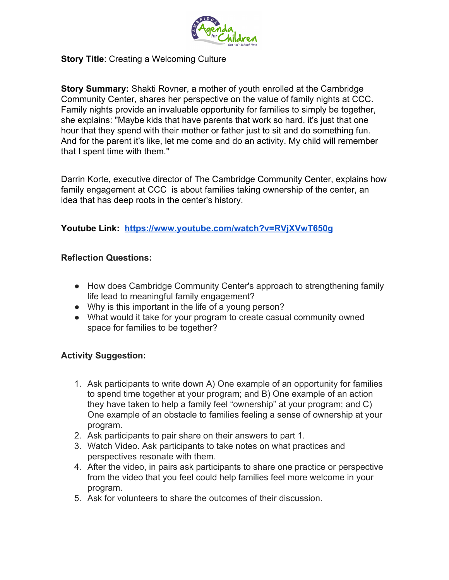

#### **Story Title: Creating a Welcoming Culture**

**Story Summary:** Shakti Rovner, a mother of youth enrolled at the Cambridge Community Center, shares her perspective on the value of family nights at CCC. Family nights provide an invaluable opportunity for families to simply be together, she explains: "Maybe kids that have parents that work so hard, it's just that one hour that they spend with their mother or father just to sit and do something fun. And for the parent it's like, let me come and do an activity. My child will remember that I spent time with them."

Darrin Korte, executive director of The Cambridge Community Center, explains how family engagement at CCC is about families taking ownership of the center, an idea that has deep roots in the center's history.

#### **Youtube Link: <https://www.youtube.com/watch?v=RVjXVwT650g>**

#### **Reflection Questions:**

- How does Cambridge Community Center's approach to strengthening family life lead to meaningful family engagement?
- Why is this important in the life of a young person?
- What would it take for your program to create casual community owned space for families to be together?

- 1. Ask participants to write down A) One example of an opportunity for families to spend time together at your program; and B) One example of an action they have taken to help a family feel "ownership" at your program; and C) One example of an obstacle to families feeling a sense of ownership at your program.
- 2. Ask participants to pair share on their answers to part 1.
- 3. Watch Video. Ask participants to take notes on what practices and perspectives resonate with them.
- 4. After the video, in pairs ask participants to share one practice or perspective from the video that you feel could help families feel more welcome in your program.
- 5. Ask for volunteers to share the outcomes of their discussion.